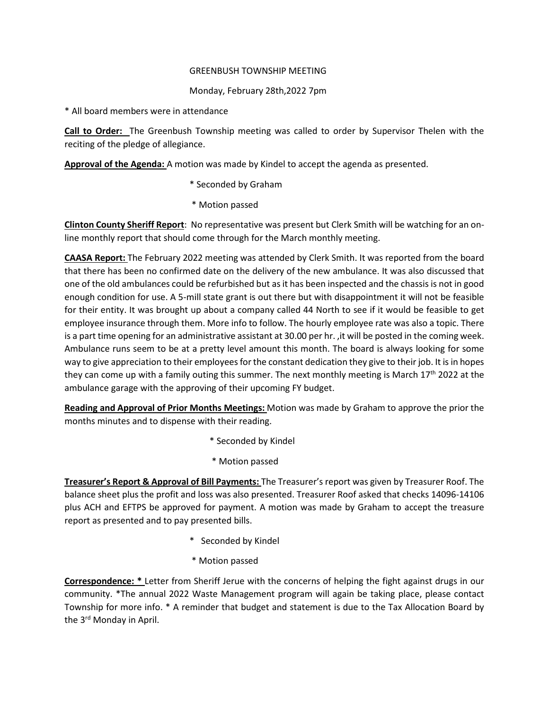## GREENBUSH TOWNSHIP MEETING

## Monday, February 28th,2022 7pm

\* All board members were in attendance

**Call to Order:** The Greenbush Township meeting was called to order by Supervisor Thelen with the reciting of the pledge of allegiance.

**Approval of the Agenda:** A motion was made by Kindel to accept the agenda as presented.

- \* Seconded by Graham
- \* Motion passed

**Clinton County Sheriff Report**: No representative was present but Clerk Smith will be watching for an online monthly report that should come through for the March monthly meeting.

**CAASA Report:** The February 2022 meeting was attended by Clerk Smith. It was reported from the board that there has been no confirmed date on the delivery of the new ambulance. It was also discussed that one of the old ambulances could be refurbished but as it has been inspected and the chassis is not in good enough condition for use. A 5-mill state grant is out there but with disappointment it will not be feasible for their entity. It was brought up about a company called 44 North to see if it would be feasible to get employee insurance through them. More info to follow. The hourly employee rate was also a topic. There is a part time opening for an administrative assistant at 30.00 per hr. ,it will be posted in the coming week. Ambulance runs seem to be at a pretty level amount this month. The board is always looking for some way to give appreciation to their employees for the constant dedication they give to their job. It is in hopes they can come up with a family outing this summer. The next monthly meeting is March  $17<sup>th</sup>$  2022 at the ambulance garage with the approving of their upcoming FY budget.

**Reading and Approval of Prior Months Meetings:** Motion was made by Graham to approve the prior the months minutes and to dispense with their reading.

- \* Seconded by Kindel
- \* Motion passed

**Treasurer's Report & Approval of Bill Payments:** The Treasurer's report was given by Treasurer Roof. The balance sheet plus the profit and loss was also presented. Treasurer Roof asked that checks 14096-14106 plus ACH and EFTPS be approved for payment. A motion was made by Graham to accept the treasure report as presented and to pay presented bills.

- \* Seconded by Kindel
- \* Motion passed

**Correspondence: \*** Letter from Sheriff Jerue with the concerns of helping the fight against drugs in our community. \*The annual 2022 Waste Management program will again be taking place, please contact Township for more info. \* A reminder that budget and statement is due to the Tax Allocation Board by the 3<sup>rd</sup> Monday in April.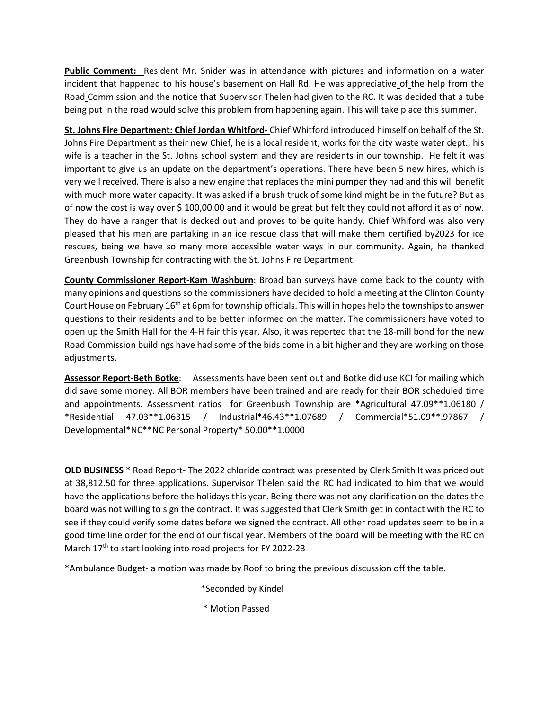**Public Comment:** Resident Mr. Snider was in attendance with pictures and information on a water incident that happened to his house's basement on Hall Rd. He was appreciative of the help from the Road Commission and the notice that Supervisor Thelen had given to the RC. It was decided that a tube being put in the road would solve this problem from happening again. This will take place this summer.

**St. Johns Fire Department: Chief Jordan Whitford-** Chief Whitford introduced himself on behalf of the St. Johns Fire Department as their new Chief, he is a local resident, works for the city waste water dept., his wife is a teacher in the St. Johns school system and they are residents in our township. He felt it was important to give us an update on the department's operations. There have been 5 new hires, which is very well received. There is also a new engine that replaces the mini pumper they had and this will benefit with much more water capacity. It was asked if a brush truck of some kind might be in the future? But as of now the cost is way over \$ 100,00.00 and it would be great but felt they could not afford it as of now. They do have a ranger that is decked out and proves to be quite handy. Chief Whiford was also very pleased that his men are partaking in an ice rescue class that will make them certified by2023 for ice rescues, being we have so many more accessible water ways in our community. Again, he thanked Greenbush Township for contracting with the St. Johns Fire Department.

**County Commissioner Report-Kam Washburn**: Broad ban surveys have come back to the county with many opinions and questions so the commissioners have decided to hold a meeting at the Clinton County Court House on February 16<sup>th</sup> at 6pm for township officials. This will in hopes help the townships to answer questions to their residents and to be better informed on the matter. The commissioners have voted to open up the Smith Hall for the 4-H fair this year. Also, it was reported that the 18-mill bond for the new Road Commission buildings have had some of the bids come in a bit higher and they are working on those adjustments.

**Assessor Report-Beth Botke**: Assessments have been sent out and Botke did use KCI for mailing which did save some money. All BOR members have been trained and are ready for their BOR scheduled time and appointments. Assessment ratios for Greenbush Township are \*Agricultural 47.09\*\*1.06180 / \*Residential 47.03\*\*1.06315 / Industrial\*46.43\*\*1.07689 / Commercial\*51.09\*\*.97867 / Developmental\*NC\*\*NC Personal Property\* 50.00\*\*1.0000

**OLD BUSINESS** \* Road Report- The 2022 chloride contract was presented by Clerk Smith It was priced out at 38,812.50 for three applications. Supervisor Thelen said the RC had indicated to him that we would have the applications before the holidays this year. Being there was not any clarification on the dates the board was not willing to sign the contract. It was suggested that Clerk Smith get in contact with the RC to see if they could verify some dates before we signed the contract. All other road updates seem to be in a good time line order for the end of our fiscal year. Members of the board will be meeting with the RC on March 17<sup>th</sup> to start looking into road projects for FY 2022-23

\*Ambulance Budget- a motion was made by Roof to bring the previous discussion off the table.

- \*Seconded by Kindel
- \* Motion Passed